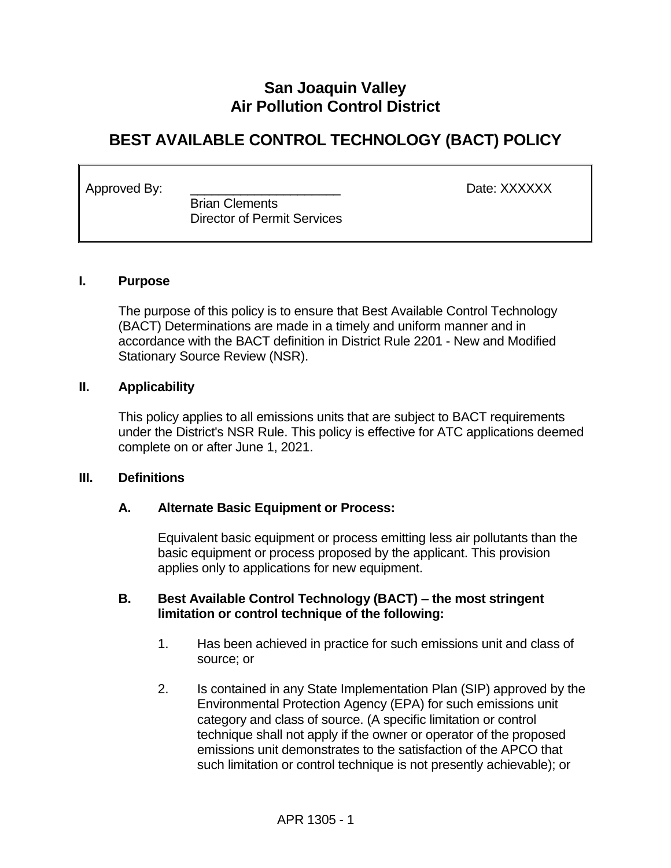# **San Joaquin Valley Air Pollution Control District**

# **BEST AVAILABLE CONTROL TECHNOLOGY (BACT) POLICY**

Approved By: \_\_\_\_\_\_\_\_\_\_\_\_\_\_\_\_\_\_\_\_\_ Date: XXXXXX

 Brian Clements Director of Permit Services

#### **I. Purpose**

The purpose of this policy is to ensure that Best Available Control Technology (BACT) Determinations are made in a timely and uniform manner and in accordance with the BACT definition in District Rule 2201 - New and Modified Stationary Source Review (NSR).

#### **II. Applicability**

This policy applies to all emissions units that are subject to BACT requirements under the District's NSR Rule. This policy is effective for ATC applications deemed complete on or after June 1, 2021.

#### **III. Definitions**

#### **A. Alternate Basic Equipment or Process:**

Equivalent basic equipment or process emitting less air pollutants than the basic equipment or process proposed by the applicant. This provision applies only to applications for new equipment.

#### **B. Best Available Control Technology (BACT) – the most stringent limitation or control technique of the following:**

- 1. Has been achieved in practice for such emissions unit and class of source; or
- 2. Is contained in any State Implementation Plan (SIP) approved by the Environmental Protection Agency (EPA) for such emissions unit category and class of source. (A specific limitation or control technique shall not apply if the owner or operator of the proposed emissions unit demonstrates to the satisfaction of the APCO that such limitation or control technique is not presently achievable); or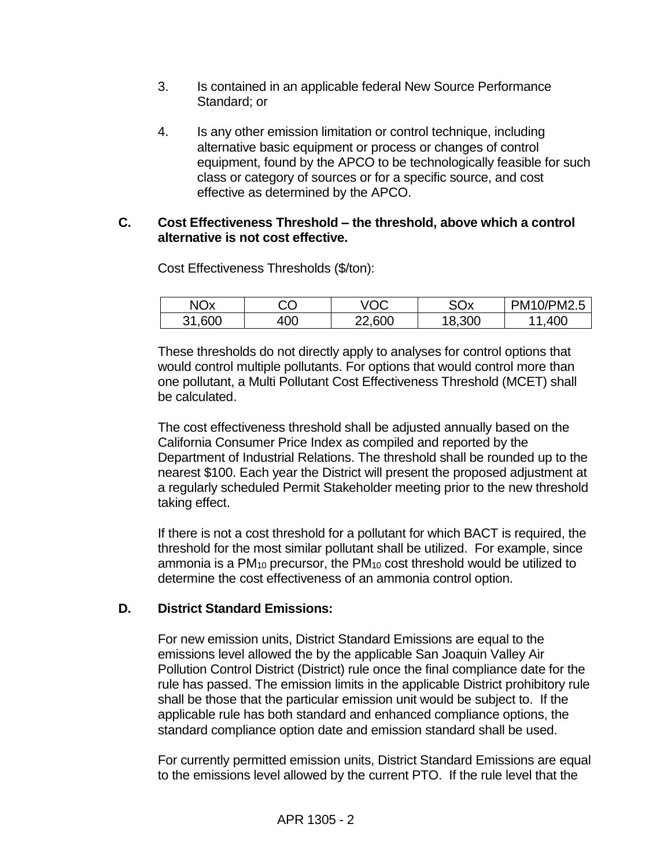- 3. Is contained in an applicable federal New Source Performance Standard; or
- 4. Is any other emission limitation or control technique, including alternative basic equipment or process or changes of control equipment, found by the APCO to be technologically feasible for such class or category of sources or for a specific source, and cost effective as determined by the APCO.

#### **C. Cost Effectiveness Threshold – the threshold, above which a control alternative is not cost effective.**

| <b>NO<sub>x</sub></b> | СC  | /OC    | SOx    | PM10/PM2.5 |
|-----------------------|-----|--------|--------|------------|
| 31,600                | 400 | 22,600 | 18,300 | .400<br>-1 |

Cost Effectiveness Thresholds (\$/ton):

These thresholds do not directly apply to analyses for control options that would control multiple pollutants. For options that would control more than one pollutant, a Multi Pollutant Cost Effectiveness Threshold (MCET) shall be calculated.

The cost effectiveness threshold shall be adjusted annually based on the California Consumer Price Index as compiled and reported by the Department of Industrial Relations. The threshold shall be rounded up to the nearest \$100. Each year the District will present the proposed adjustment at a regularly scheduled Permit Stakeholder meeting prior to the new threshold taking effect.

If there is not a cost threshold for a pollutant for which BACT is required, the threshold for the most similar pollutant shall be utilized. For example, since ammonia is a PM<sup>10</sup> precursor, the PM<sup>10</sup> cost threshold would be utilized to determine the cost effectiveness of an ammonia control option.

## **D. District Standard Emissions:**

For new emission units, District Standard Emissions are equal to the emissions level allowed the by the applicable San Joaquin Valley Air Pollution Control District (District) rule once the final compliance date for the rule has passed. The emission limits in the applicable District prohibitory rule shall be those that the particular emission unit would be subject to. If the applicable rule has both standard and enhanced compliance options, the standard compliance option date and emission standard shall be used.

For currently permitted emission units, District Standard Emissions are equal to the emissions level allowed by the current PTO. If the rule level that the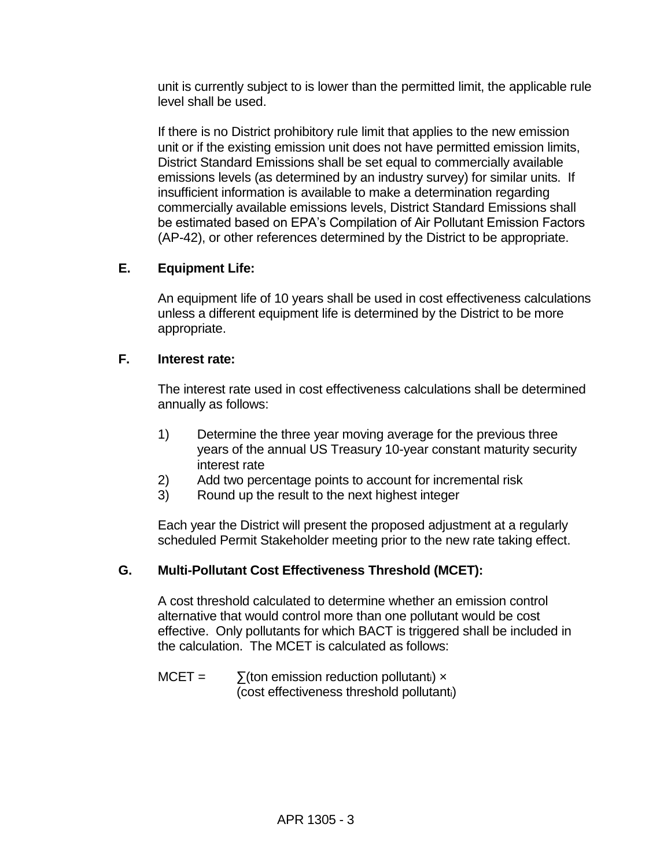unit is currently subject to is lower than the permitted limit, the applicable rule level shall be used.

If there is no District prohibitory rule limit that applies to the new emission unit or if the existing emission unit does not have permitted emission limits, District Standard Emissions shall be set equal to commercially available emissions levels (as determined by an industry survey) for similar units. If insufficient information is available to make a determination regarding commercially available emissions levels, District Standard Emissions shall be estimated based on EPA's Compilation of Air Pollutant Emission Factors (AP-42), or other references determined by the District to be appropriate.

### **E. Equipment Life:**

An equipment life of 10 years shall be used in cost effectiveness calculations unless a different equipment life is determined by the District to be more appropriate.

#### **F. Interest rate:**

The interest rate used in cost effectiveness calculations shall be determined annually as follows:

- 1) Determine the three year moving average for the previous three years of the annual US Treasury 10-year constant maturity security interest rate
- 2) Add two percentage points to account for incremental risk
- 3) Round up the result to the next highest integer

Each year the District will present the proposed adjustment at a regularly scheduled Permit Stakeholder meeting prior to the new rate taking effect.

#### **G. Multi-Pollutant Cost Effectiveness Threshold (MCET):**

A cost threshold calculated to determine whether an emission control alternative that would control more than one pollutant would be cost effective. Only pollutants for which BACT is triggered shall be included in the calculation. The MCET is calculated as follows:

 $MCET = \sum$ (ton emission reduction pollutant<sub>i</sub>) x (cost effectiveness threshold pollutanti)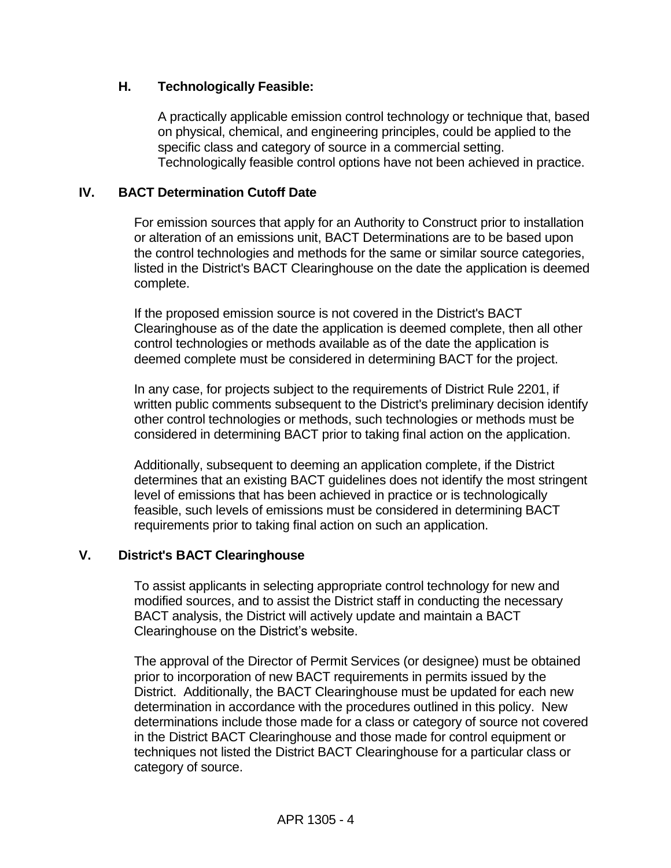## **H. Technologically Feasible:**

A practically applicable emission control technology or technique that, based on physical, chemical, and engineering principles, could be applied to the specific class and category of source in a commercial setting. Technologically feasible control options have not been achieved in practice.

### **IV. BACT Determination Cutoff Date**

For emission sources that apply for an Authority to Construct prior to installation or alteration of an emissions unit, BACT Determinations are to be based upon the control technologies and methods for the same or similar source categories, listed in the District's BACT Clearinghouse on the date the application is deemed complete.

If the proposed emission source is not covered in the District's BACT Clearinghouse as of the date the application is deemed complete, then all other control technologies or methods available as of the date the application is deemed complete must be considered in determining BACT for the project.

In any case, for projects subject to the requirements of District Rule 2201, if written public comments subsequent to the District's preliminary decision identify other control technologies or methods, such technologies or methods must be considered in determining BACT prior to taking final action on the application.

Additionally, subsequent to deeming an application complete, if the District determines that an existing BACT guidelines does not identify the most stringent level of emissions that has been achieved in practice or is technologically feasible, such levels of emissions must be considered in determining BACT requirements prior to taking final action on such an application.

#### **V. District's BACT Clearinghouse**

To assist applicants in selecting appropriate control technology for new and modified sources, and to assist the District staff in conducting the necessary BACT analysis, the District will actively update and maintain a BACT Clearinghouse on the District's website.

The approval of the Director of Permit Services (or designee) must be obtained prior to incorporation of new BACT requirements in permits issued by the District. Additionally, the BACT Clearinghouse must be updated for each new determination in accordance with the procedures outlined in this policy. New determinations include those made for a class or category of source not covered in the District BACT Clearinghouse and those made for control equipment or techniques not listed the District BACT Clearinghouse for a particular class or category of source.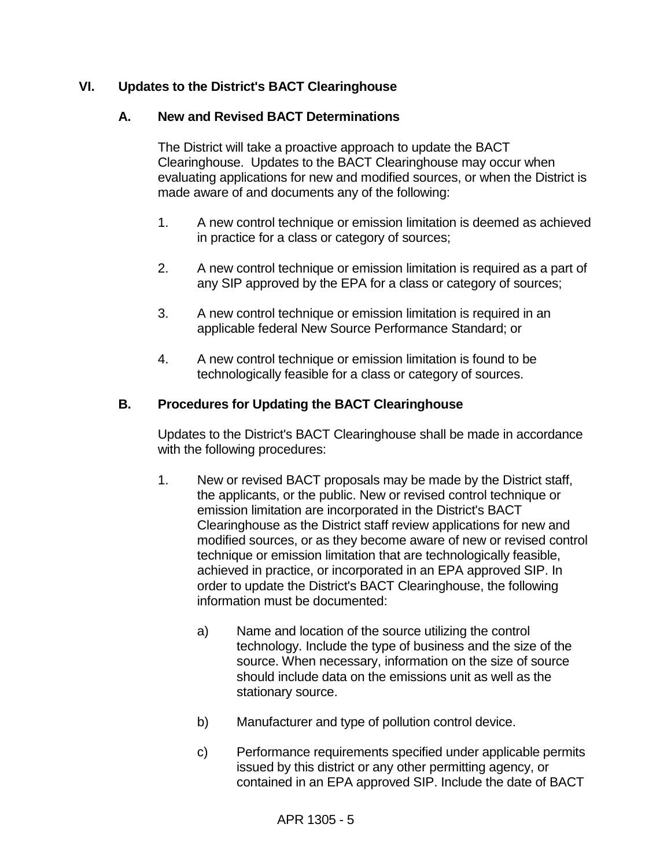## **VI. Updates to the District's BACT Clearinghouse**

#### **A. New and Revised BACT Determinations**

The District will take a proactive approach to update the BACT Clearinghouse. Updates to the BACT Clearinghouse may occur when evaluating applications for new and modified sources, or when the District is made aware of and documents any of the following:

- 1. A new control technique or emission limitation is deemed as achieved in practice for a class or category of sources;
- 2. A new control technique or emission limitation is required as a part of any SIP approved by the EPA for a class or category of sources;
- 3. A new control technique or emission limitation is required in an applicable federal New Source Performance Standard; or
- 4. A new control technique or emission limitation is found to be technologically feasible for a class or category of sources.

### **B. Procedures for Updating the BACT Clearinghouse**

Updates to the District's BACT Clearinghouse shall be made in accordance with the following procedures:

- 1. New or revised BACT proposals may be made by the District staff, the applicants, or the public. New or revised control technique or emission limitation are incorporated in the District's BACT Clearinghouse as the District staff review applications for new and modified sources, or as they become aware of new or revised control technique or emission limitation that are technologically feasible, achieved in practice, or incorporated in an EPA approved SIP. In order to update the District's BACT Clearinghouse, the following information must be documented:
	- a) Name and location of the source utilizing the control technology. Include the type of business and the size of the source. When necessary, information on the size of source should include data on the emissions unit as well as the stationary source.
	- b) Manufacturer and type of pollution control device.
	- c) Performance requirements specified under applicable permits issued by this district or any other permitting agency, or contained in an EPA approved SIP. Include the date of BACT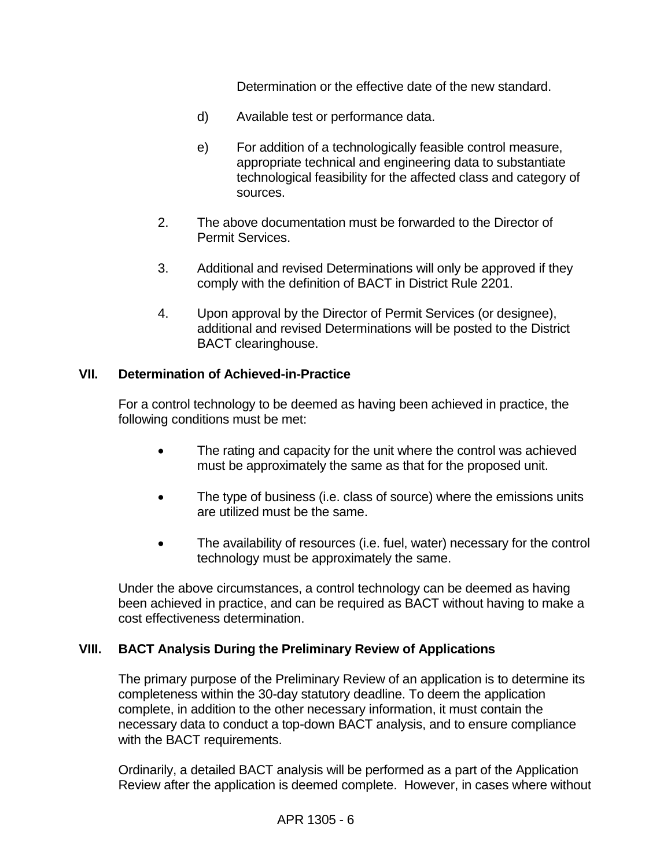Determination or the effective date of the new standard.

- d) Available test or performance data.
- e) For addition of a technologically feasible control measure, appropriate technical and engineering data to substantiate technological feasibility for the affected class and category of sources.
- 2. The above documentation must be forwarded to the Director of Permit Services.
- 3. Additional and revised Determinations will only be approved if they comply with the definition of BACT in District Rule 2201.
- 4. Upon approval by the Director of Permit Services (or designee), additional and revised Determinations will be posted to the District BACT clearinghouse.

#### **VII. Determination of Achieved-in-Practice**

For a control technology to be deemed as having been achieved in practice, the following conditions must be met:

- The rating and capacity for the unit where the control was achieved must be approximately the same as that for the proposed unit.
- The type of business (i.e. class of source) where the emissions units are utilized must be the same.
- The availability of resources (i.e. fuel, water) necessary for the control technology must be approximately the same.

Under the above circumstances, a control technology can be deemed as having been achieved in practice, and can be required as BACT without having to make a cost effectiveness determination.

#### **VIII. BACT Analysis During the Preliminary Review of Applications**

The primary purpose of the Preliminary Review of an application is to determine its completeness within the 30-day statutory deadline. To deem the application complete, in addition to the other necessary information, it must contain the necessary data to conduct a top-down BACT analysis, and to ensure compliance with the BACT requirements.

Ordinarily, a detailed BACT analysis will be performed as a part of the Application Review after the application is deemed complete. However, in cases where without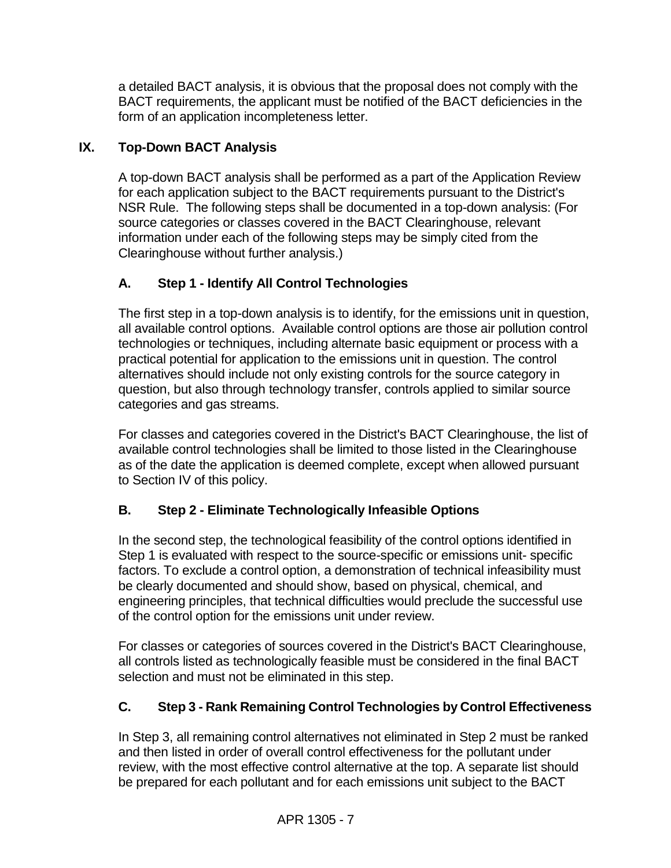a detailed BACT analysis, it is obvious that the proposal does not comply with the BACT requirements, the applicant must be notified of the BACT deficiencies in the form of an application incompleteness letter.

# **IX. Top-Down BACT Analysis**

A top-down BACT analysis shall be performed as a part of the Application Review for each application subject to the BACT requirements pursuant to the District's NSR Rule. The following steps shall be documented in a top-down analysis: (For source categories or classes covered in the BACT Clearinghouse, relevant information under each of the following steps may be simply cited from the Clearinghouse without further analysis.)

# **A. Step 1 - Identify All Control Technologies**

The first step in a top-down analysis is to identify, for the emissions unit in question, all available control options. Available control options are those air pollution control technologies or techniques, including alternate basic equipment or process with a practical potential for application to the emissions unit in question. The control alternatives should include not only existing controls for the source category in question, but also through technology transfer, controls applied to similar source categories and gas streams.

For classes and categories covered in the District's BACT Clearinghouse, the list of available control technologies shall be limited to those listed in the Clearinghouse as of the date the application is deemed complete, except when allowed pursuant to Section IV of this policy.

## **B. Step 2 - Eliminate Technologically Infeasible Options**

In the second step, the technological feasibility of the control options identified in Step 1 is evaluated with respect to the source-specific or emissions unit- specific factors. To exclude a control option, a demonstration of technical infeasibility must be clearly documented and should show, based on physical, chemical, and engineering principles, that technical difficulties would preclude the successful use of the control option for the emissions unit under review.

For classes or categories of sources covered in the District's BACT Clearinghouse, all controls listed as technologically feasible must be considered in the final BACT selection and must not be eliminated in this step.

# **C. Step 3 - Rank Remaining Control Technologies by Control Effectiveness**

In Step 3, all remaining control alternatives not eliminated in Step 2 must be ranked and then listed in order of overall control effectiveness for the pollutant under review, with the most effective control alternative at the top. A separate list should be prepared for each pollutant and for each emissions unit subject to the BACT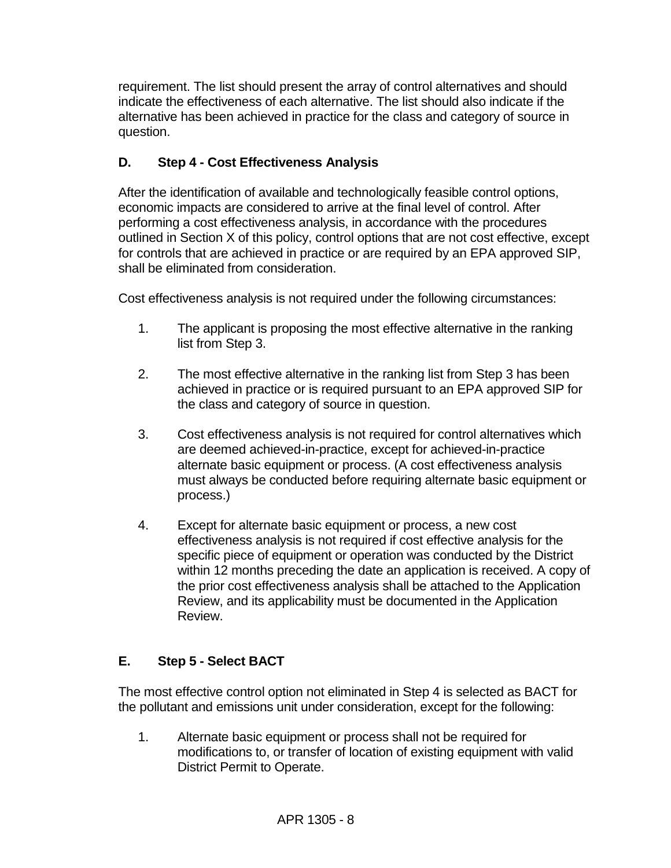requirement. The list should present the array of control alternatives and should indicate the effectiveness of each alternative. The list should also indicate if the alternative has been achieved in practice for the class and category of source in question.

# **D. Step 4 - Cost Effectiveness Analysis**

After the identification of available and technologically feasible control options, economic impacts are considered to arrive at the final level of control. After performing a cost effectiveness analysis, in accordance with the procedures outlined in Section X of this policy, control options that are not cost effective, except for controls that are achieved in practice or are required by an EPA approved SIP, shall be eliminated from consideration.

Cost effectiveness analysis is not required under the following circumstances:

- 1. The applicant is proposing the most effective alternative in the ranking list from Step 3.
- 2. The most effective alternative in the ranking list from Step 3 has been achieved in practice or is required pursuant to an EPA approved SIP for the class and category of source in question.
- 3. Cost effectiveness analysis is not required for control alternatives which are deemed achieved-in-practice, except for achieved-in-practice alternate basic equipment or process. (A cost effectiveness analysis must always be conducted before requiring alternate basic equipment or process.)
- 4. Except for alternate basic equipment or process, a new cost effectiveness analysis is not required if cost effective analysis for the specific piece of equipment or operation was conducted by the District within 12 months preceding the date an application is received. A copy of the prior cost effectiveness analysis shall be attached to the Application Review, and its applicability must be documented in the Application Review.

## **E. Step 5 - Select BACT**

The most effective control option not eliminated in Step 4 is selected as BACT for the pollutant and emissions unit under consideration, except for the following:

1. Alternate basic equipment or process shall not be required for modifications to, or transfer of location of existing equipment with valid District Permit to Operate.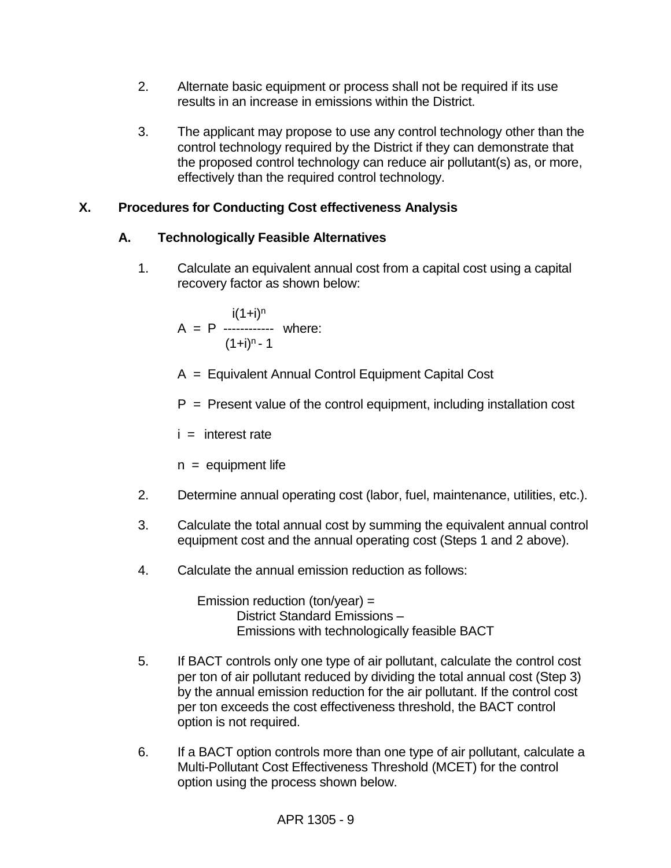- 2. Alternate basic equipment or process shall not be required if its use results in an increase in emissions within the District.
- 3. The applicant may propose to use any control technology other than the control technology required by the District if they can demonstrate that the proposed control technology can reduce air pollutant(s) as, or more, effectively than the required control technology.

## **X. Procedures for Conducting Cost effectiveness Analysis**

## **A. Technologically Feasible Alternatives**

1. Calculate an equivalent annual cost from a capital cost using a capital recovery factor as shown below:

$$
A = P
$$
  
\n
$$
A = P
$$
  
\n
$$
(1+i)^{n} - 1
$$
  
\nwhere:

- A = Equivalent Annual Control Equipment Capital Cost
- $P =$  Present value of the control equipment, including installation cost

 $i =$  interest rate

 $n =$  equipment life

- 2. Determine annual operating cost (labor, fuel, maintenance, utilities, etc.).
- 3. Calculate the total annual cost by summing the equivalent annual control equipment cost and the annual operating cost (Steps 1 and 2 above).
- 4. Calculate the annual emission reduction as follows:

Emission reduction (ton/year) = District Standard Emissions – Emissions with technologically feasible BACT

- 5. If BACT controls only one type of air pollutant, calculate the control cost per ton of air pollutant reduced by dividing the total annual cost (Step 3) by the annual emission reduction for the air pollutant. If the control cost per ton exceeds the cost effectiveness threshold, the BACT control option is not required.
- 6. If a BACT option controls more than one type of air pollutant, calculate a Multi-Pollutant Cost Effectiveness Threshold (MCET) for the control option using the process shown below.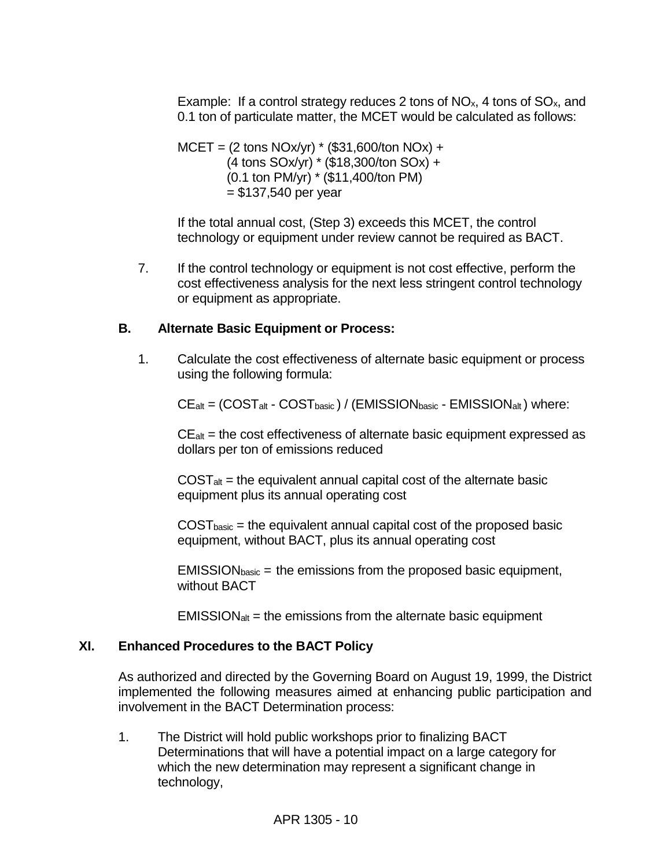Example: If a control strategy reduces 2 tons of  $NO<sub>x</sub>$ , 4 tons of  $SO<sub>x</sub>$ , and 0.1 ton of particulate matter, the MCET would be calculated as follows:

 $MCET = (2 \text{ tons NOx/yr}) * ($31,600/ton NOx) +$ (4 tons SOx/yr) \* (\$18,300/ton SOx) + (0.1 ton PM/yr) \* (\$11,400/ton PM)  $= $137,540$  per year

If the total annual cost, (Step 3) exceeds this MCET, the control technology or equipment under review cannot be required as BACT.

7. If the control technology or equipment is not cost effective, perform the cost effectiveness analysis for the next less stringent control technology or equipment as appropriate.

#### **B. Alternate Basic Equipment or Process:**

1. Calculate the cost effectiveness of alternate basic equipment or process using the following formula:

 $CE_{alt} = (COST_{alt} - COST_{basic}) / (EMISSION_{basic} - EMISSION_{alt})$  where:

 $CE<sub>alt</sub>$  = the cost effectiveness of alternate basic equipment expressed as dollars per ton of emissions reduced

 $COST<sub>alt</sub>$  = the equivalent annual capital cost of the alternate basic equipment plus its annual operating cost

 $COST<sub>basic</sub>$  = the equivalent annual capital cost of the proposed basic equipment, without BACT, plus its annual operating cost

 $EMISSION<sub>basic</sub> = the emissions from the proposed basic equipment,$ without BACT

 $EMISSION<sub>alt</sub>$  = the emissions from the alternate basic equipment

#### **XI. Enhanced Procedures to the BACT Policy**

As authorized and directed by the Governing Board on August 19, 1999, the District implemented the following measures aimed at enhancing public participation and involvement in the BACT Determination process:

1. The District will hold public workshops prior to finalizing BACT Determinations that will have a potential impact on a large category for which the new determination may represent a significant change in technology,